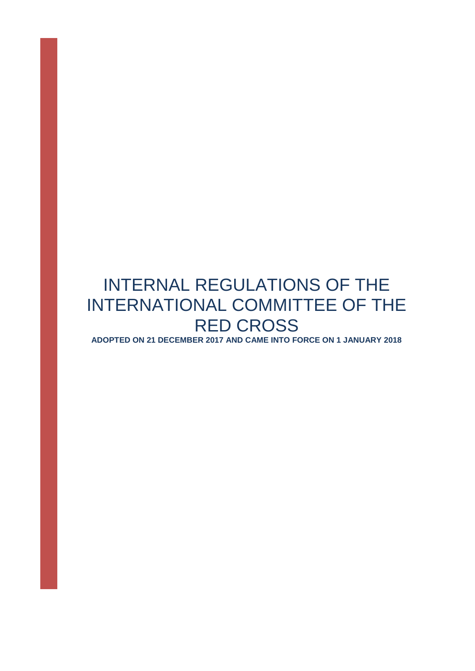# INTERNAL REGULATIONS OF THE INTERNATIONAL COMMITTEE OF THE RED CROSS

**ADOPTED ON 21 DECEMBER 2017 AND CAME INTO FORCE ON 1 JANUARY 2018**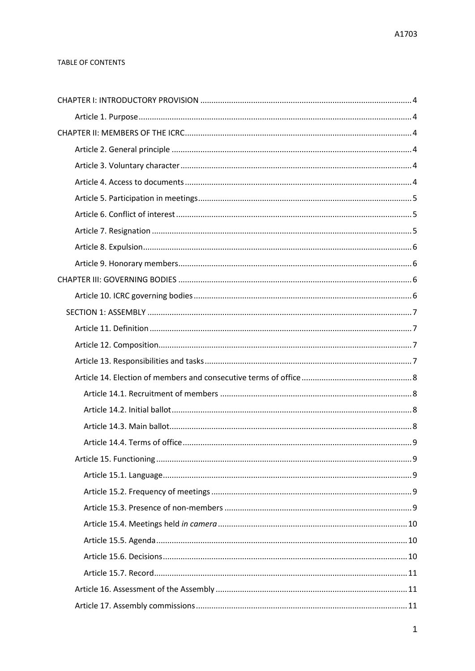## TABLE OF CONTENTS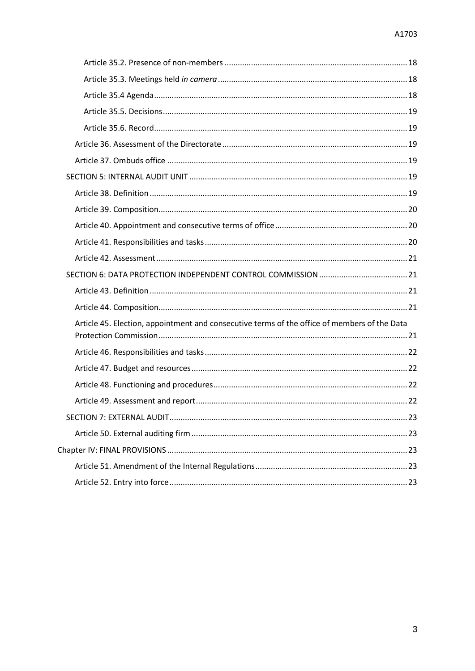| Article 45. Election, appointment and consecutive terms of the office of members of the Data |  |
|----------------------------------------------------------------------------------------------|--|
|                                                                                              |  |
|                                                                                              |  |
|                                                                                              |  |
|                                                                                              |  |
|                                                                                              |  |
|                                                                                              |  |
|                                                                                              |  |
|                                                                                              |  |
|                                                                                              |  |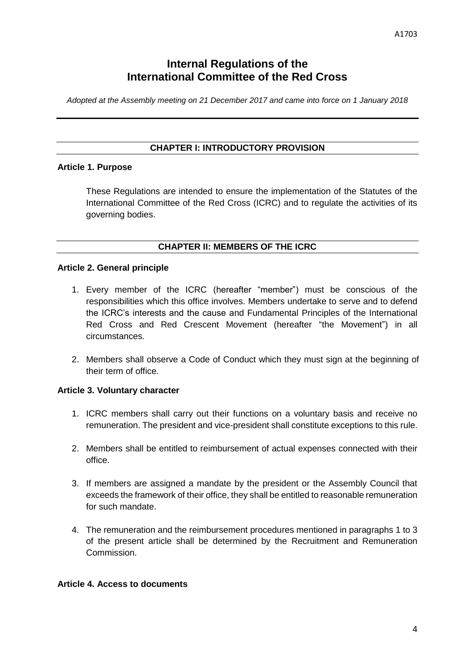# **Internal Regulations of the International Committee of the Red Cross**

*Adopted at the Assembly meeting on 21 December 2017 and came into force on 1 January 2018*

## **CHAPTER I: INTRODUCTORY PROVISION**

## <span id="page-4-1"></span><span id="page-4-0"></span>**Article 1. Purpose**

These Regulations are intended to ensure the implementation of the Statutes of the International Committee of the Red Cross (ICRC) and to regulate the activities of its governing bodies.

## **CHAPTER II: MEMBERS OF THE ICRC**

## <span id="page-4-3"></span><span id="page-4-2"></span>**Article 2. General principle**

- 1. Every member of the ICRC (hereafter "member") must be conscious of the responsibilities which this office involves. Members undertake to serve and to defend the ICRC's interests and the cause and Fundamental Principles of the International Red Cross and Red Crescent Movement (hereafter "the Movement") in all circumstances.
- 2. Members shall observe a Code of Conduct which they must sign at the beginning of their term of office.

## <span id="page-4-4"></span>**Article 3. Voluntary character**

- 1. ICRC members shall carry out their functions on a voluntary basis and receive no remuneration. The president and vice-president shall constitute exceptions to this rule.
- 2. Members shall be entitled to reimbursement of actual expenses connected with their office.
- 3. If members are assigned a mandate by the president or the Assembly Council that exceeds the framework of their office, they shall be entitled to reasonable remuneration for such mandate.
- 4. The remuneration and the reimbursement procedures mentioned in paragraphs 1 to 3 of the present article shall be determined by the Recruitment and Remuneration Commission.

# <span id="page-4-5"></span>**Article 4. Access to documents**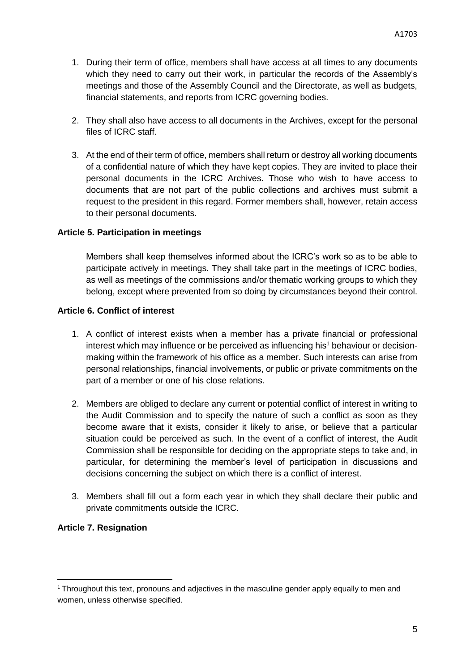- 1. During their term of office, members shall have access at all times to any documents which they need to carry out their work, in particular the records of the Assembly's meetings and those of the Assembly Council and the Directorate, as well as budgets, financial statements, and reports from ICRC governing bodies.
- 2. They shall also have access to all documents in the Archives, except for the personal files of ICRC staff.
- 3. At the end of their term of office, members shall return or destroy all working documents of a confidential nature of which they have kept copies. They are invited to place their personal documents in the ICRC Archives. Those who wish to have access to documents that are not part of the public collections and archives must submit a request to the president in this regard. Former members shall, however, retain access to their personal documents.

## <span id="page-5-0"></span>**Article 5. Participation in meetings**

Members shall keep themselves informed about the ICRC's work so as to be able to participate actively in meetings. They shall take part in the meetings of ICRC bodies, as well as meetings of the commissions and/or thematic working groups to which they belong, except where prevented from so doing by circumstances beyond their control.

## <span id="page-5-1"></span>**Article 6. Conflict of interest**

- 1. A conflict of interest exists when a member has a private financial or professional interest which may influence or be perceived as influencing his<sup>1</sup> behaviour or decisionmaking within the framework of his office as a member. Such interests can arise from personal relationships, financial involvements, or public or private commitments on the part of a member or one of his close relations.
- 2. Members are obliged to declare any current or potential conflict of interest in writing to the Audit Commission and to specify the nature of such a conflict as soon as they become aware that it exists, consider it likely to arise, or believe that a particular situation could be perceived as such. In the event of a conflict of interest, the Audit Commission shall be responsible for deciding on the appropriate steps to take and, in particular, for determining the member's level of participation in discussions and decisions concerning the subject on which there is a conflict of interest.
- 3. Members shall fill out a form each year in which they shall declare their public and private commitments outside the ICRC.

## <span id="page-5-2"></span>**Article 7. Resignation**

**.** 

 $1$  Throughout this text, pronouns and adjectives in the masculine gender apply equally to men and women, unless otherwise specified.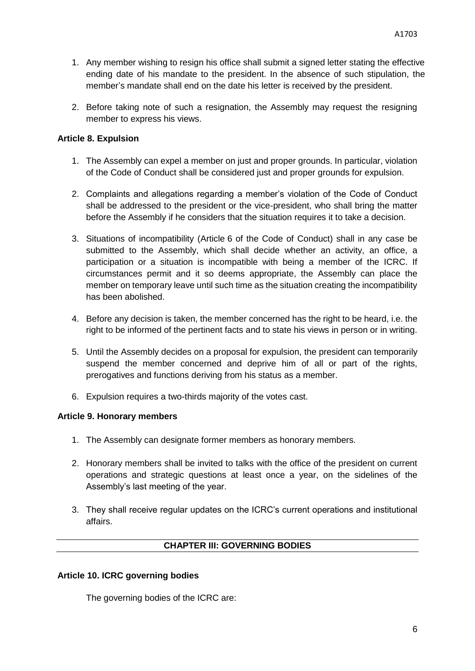- 1. Any member wishing to resign his office shall submit a signed letter stating the effective ending date of his mandate to the president. In the absence of such stipulation, the member's mandate shall end on the date his letter is received by the president.
- 2. Before taking note of such a resignation, the Assembly may request the resigning member to express his views.

## <span id="page-6-0"></span>**Article 8. Expulsion**

- 1. The Assembly can expel a member on just and proper grounds. In particular, violation of the Code of Conduct shall be considered just and proper grounds for expulsion.
- 2. Complaints and allegations regarding a member's violation of the Code of Conduct shall be addressed to the president or the vice-president, who shall bring the matter before the Assembly if he considers that the situation requires it to take a decision.
- 3. Situations of incompatibility (Article 6 of the Code of Conduct) shall in any case be submitted to the Assembly, which shall decide whether an activity, an office, a participation or a situation is incompatible with being a member of the ICRC. If circumstances permit and it so deems appropriate, the Assembly can place the member on temporary leave until such time as the situation creating the incompatibility has been abolished.
- 4. Before any decision is taken, the member concerned has the right to be heard, i.e. the right to be informed of the pertinent facts and to state his views in person or in writing.
- 5. Until the Assembly decides on a proposal for expulsion, the president can temporarily suspend the member concerned and deprive him of all or part of the rights, prerogatives and functions deriving from his status as a member.
- 6. Expulsion requires a two-thirds majority of the votes cast.

## <span id="page-6-1"></span>**Article 9. Honorary members**

- 1. The Assembly can designate former members as honorary members.
- 2. Honorary members shall be invited to talks with the office of the president on current operations and strategic questions at least once a year, on the sidelines of the Assembly's last meeting of the year.
- 3. They shall receive regular updates on the ICRC's current operations and institutional affairs.

## **CHAPTER III: GOVERNING BODIES**

## <span id="page-6-3"></span><span id="page-6-2"></span>**Article 10. ICRC governing bodies**

The governing bodies of the ICRC are: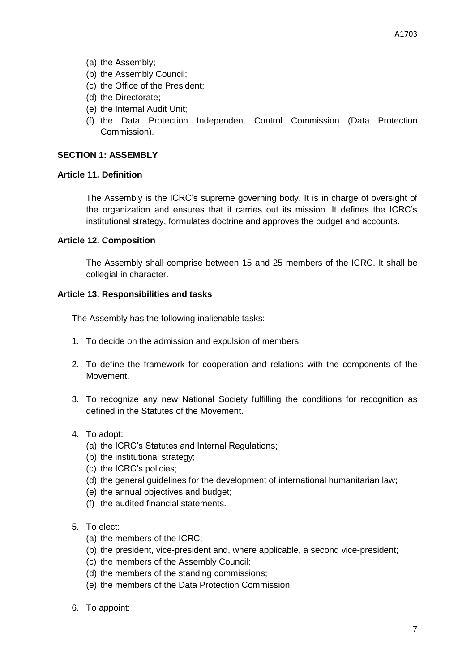- (a) the Assembly;
- (b) the Assembly Council;
- (c) the Office of the President;
- (d) the Directorate;
- (e) the Internal Audit Unit;
- (f) the Data Protection Independent Control Commission (Data Protection Commission).

## <span id="page-7-0"></span>**SECTION 1: ASSEMBLY**

## <span id="page-7-1"></span>**Article 11. Definition**

The Assembly is the ICRC's supreme governing body. It is in charge of oversight of the organization and ensures that it carries out its mission. It defines the ICRC's institutional strategy, formulates doctrine and approves the budget and accounts.

## <span id="page-7-2"></span>**Article 12. Composition**

The Assembly shall comprise between 15 and 25 members of the ICRC. It shall be collegial in character.

## <span id="page-7-3"></span>**Article 13. Responsibilities and tasks**

The Assembly has the following inalienable tasks:

- 1. To decide on the admission and expulsion of members.
- 2. To define the framework for cooperation and relations with the components of the Movement.
- 3. To recognize any new National Society fulfilling the conditions for recognition as defined in the Statutes of the Movement.
- 4. To adopt:
	- (a) the ICRC's Statutes and Internal Regulations;
	- (b) the institutional strategy;
	- (c) the ICRC's policies;
	- (d) the general guidelines for the development of international humanitarian law;
	- (e) the annual objectives and budget;
	- (f) the audited financial statements.
- 5. To elect:
	- (a) the members of the ICRC;
	- (b) the president, vice-president and, where applicable, a second vice-president;
	- (c) the members of the Assembly Council;
	- (d) the members of the standing commissions;
	- (e) the members of the Data Protection Commission.
- 6. To appoint: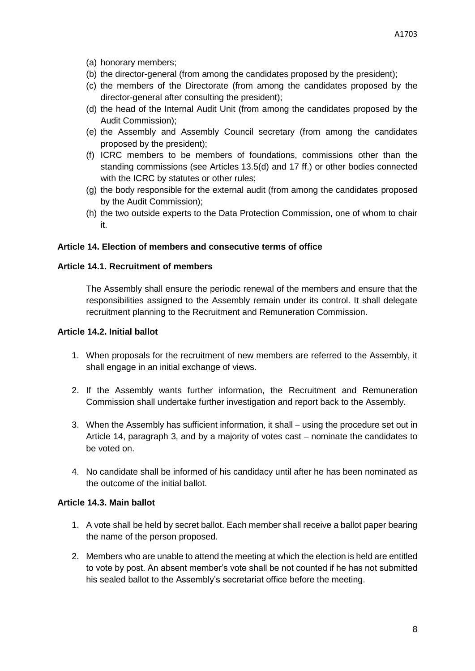- (a) honorary members;
- (b) the director-general (from among the candidates proposed by the president);
- (c) the members of the Directorate (from among the candidates proposed by the director-general after consulting the president);
- (d) the head of the Internal Audit Unit (from among the candidates proposed by the Audit Commission);
- (e) the Assembly and Assembly Council secretary (from among the candidates proposed by the president);
- (f) ICRC members to be members of foundations, commissions other than the standing commissions (see Articles 13.5(d) and 17 ff.) or other bodies connected with the ICRC by statutes or other rules;
- (g) the body responsible for the external audit (from among the candidates proposed by the Audit Commission);
- (h) the two outside experts to the Data Protection Commission, one of whom to chair it.

# <span id="page-8-0"></span>**Article 14. Election of members and consecutive terms of office**

# <span id="page-8-1"></span>**Article 14.1. Recruitment of members**

The Assembly shall ensure the periodic renewal of the members and ensure that the responsibilities assigned to the Assembly remain under its control. It shall delegate recruitment planning to the Recruitment and Remuneration Commission.

## <span id="page-8-2"></span>**Article 14.2. Initial ballot**

- 1. When proposals for the recruitment of new members are referred to the Assembly, it shall engage in an initial exchange of views.
- 2. If the Assembly wants further information, the Recruitment and Remuneration Commission shall undertake further investigation and report back to the Assembly.
- 3. When the Assembly has sufficient information, it shall using the procedure set out in Article 14, paragraph 3, and by a majority of votes cast – nominate the candidates to be voted on.
- 4. No candidate shall be informed of his candidacy until after he has been nominated as the outcome of the initial ballot.

# <span id="page-8-3"></span>**Article 14.3. Main ballot**

- 1. A vote shall be held by secret ballot. Each member shall receive a ballot paper bearing the name of the person proposed.
- 2. Members who are unable to attend the meeting at which the election is held are entitled to vote by post. An absent member's vote shall be not counted if he has not submitted his sealed ballot to the Assembly's secretariat office before the meeting.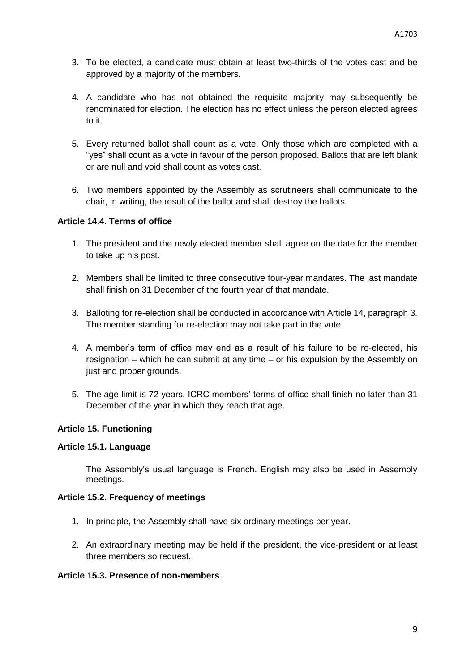- 3. To be elected, a candidate must obtain at least two-thirds of the votes cast and be approved by a majority of the members.
- 4. A candidate who has not obtained the requisite majority may subsequently be renominated for election. The election has no effect unless the person elected agrees to it.
- 5. Every returned ballot shall count as a vote. Only those which are completed with a "yes" shall count as a vote in favour of the person proposed. Ballots that are left blank or are null and void shall count as votes cast.
- 6. Two members appointed by the Assembly as scrutineers shall communicate to the chair, in writing, the result of the ballot and shall destroy the ballots.

## <span id="page-9-0"></span>**Article 14.4. Terms of office**

- 1. The president and the newly elected member shall agree on the date for the member to take up his post.
- 2. Members shall be limited to three consecutive four-year mandates. The last mandate shall finish on 31 December of the fourth year of that mandate.
- 3. Balloting for re-election shall be conducted in accordance with Article 14, paragraph 3. The member standing for re-election may not take part in the vote.
- 4. A member's term of office may end as a result of his failure to be re-elected, his resignation – which he can submit at any time – or his expulsion by the Assembly on just and proper grounds.
- 5. The age limit is 72 years. ICRC members' terms of office shall finish no later than 31 December of the year in which they reach that age.

## <span id="page-9-1"></span>**Article 15. Functioning**

## <span id="page-9-2"></span>**Article 15.1. Language**

The Assembly's usual language is French. English may also be used in Assembly meetings.

## <span id="page-9-3"></span>**Article 15.2. Frequency of meetings**

- 1. In principle, the Assembly shall have six ordinary meetings per year.
- 2. An extraordinary meeting may be held if the president, the vice-president or at least three members so request.

## <span id="page-9-4"></span>**Article 15.3. Presence of non-members**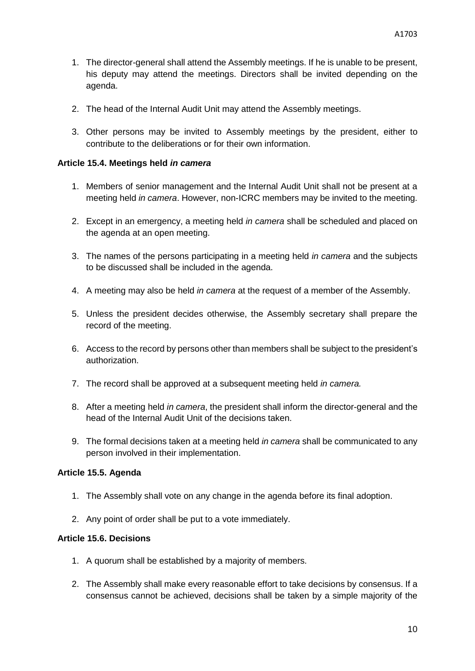- 1. The director-general shall attend the Assembly meetings. If he is unable to be present, his deputy may attend the meetings. Directors shall be invited depending on the agenda.
- 2. The head of the Internal Audit Unit may attend the Assembly meetings.
- 3. Other persons may be invited to Assembly meetings by the president, either to contribute to the deliberations or for their own information.

#### <span id="page-10-0"></span>**Article 15.4. Meetings held** *in camera*

- 1. Members of senior management and the Internal Audit Unit shall not be present at a meeting held *in camera*. However, non-ICRC members may be invited to the meeting.
- 2. Except in an emergency, a meeting held *in camera* shall be scheduled and placed on the agenda at an open meeting.
- 3. The names of the persons participating in a meeting held *in camera* and the subjects to be discussed shall be included in the agenda.
- 4. A meeting may also be held *in camera* at the request of a member of the Assembly.
- 5. Unless the president decides otherwise, the Assembly secretary shall prepare the record of the meeting.
- 6. Access to the record by persons other than members shall be subject to the president's authorization.
- 7. The record shall be approved at a subsequent meeting held *in camera.*
- 8. After a meeting held *in camera*, the president shall inform the director-general and the head of the Internal Audit Unit of the decisions taken.
- 9. The formal decisions taken at a meeting held *in camera* shall be communicated to any person involved in their implementation.

#### <span id="page-10-1"></span>**Article 15.5. Agenda**

- 1. The Assembly shall vote on any change in the agenda before its final adoption.
- 2. Any point of order shall be put to a vote immediately.

## <span id="page-10-2"></span>**Article 15.6. Decisions**

- 1. A quorum shall be established by a majority of members.
- 2. The Assembly shall make every reasonable effort to take decisions by consensus. If a consensus cannot be achieved, decisions shall be taken by a simple majority of the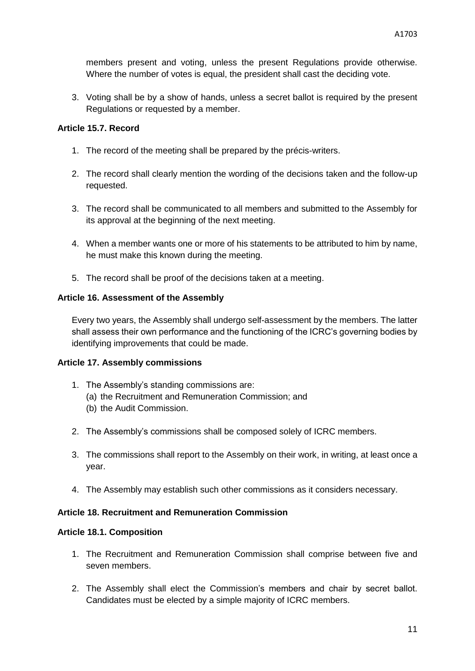members present and voting, unless the present Regulations provide otherwise. Where the number of votes is equal, the president shall cast the deciding vote.

3. Voting shall be by a show of hands, unless a secret ballot is required by the present Regulations or requested by a member.

## <span id="page-11-0"></span>**Article 15.7. Record**

- 1. The record of the meeting shall be prepared by the précis-writers.
- 2. The record shall clearly mention the wording of the decisions taken and the follow-up requested.
- 3. The record shall be communicated to all members and submitted to the Assembly for its approval at the beginning of the next meeting.
- 4. When a member wants one or more of his statements to be attributed to him by name, he must make this known during the meeting.
- 5. The record shall be proof of the decisions taken at a meeting.

## <span id="page-11-1"></span>**Article 16. Assessment of the Assembly**

Every two years, the Assembly shall undergo self-assessment by the members. The latter shall assess their own performance and the functioning of the ICRC's governing bodies by identifying improvements that could be made.

## <span id="page-11-2"></span>**Article 17. Assembly commissions**

- 1. The Assembly's standing commissions are:
	- (a) the Recruitment and Remuneration Commission; and
	- (b) the Audit Commission.
- 2. The Assembly's commissions shall be composed solely of ICRC members.
- 3. The commissions shall report to the Assembly on their work, in writing, at least once a year.
- 4. The Assembly may establish such other commissions as it considers necessary.

## <span id="page-11-3"></span>**Article 18. Recruitment and Remuneration Commission**

## <span id="page-11-4"></span>**Article 18.1. Composition**

- 1. The Recruitment and Remuneration Commission shall comprise between five and seven members.
- 2. The Assembly shall elect the Commission's members and chair by secret ballot. Candidates must be elected by a simple majority of ICRC members.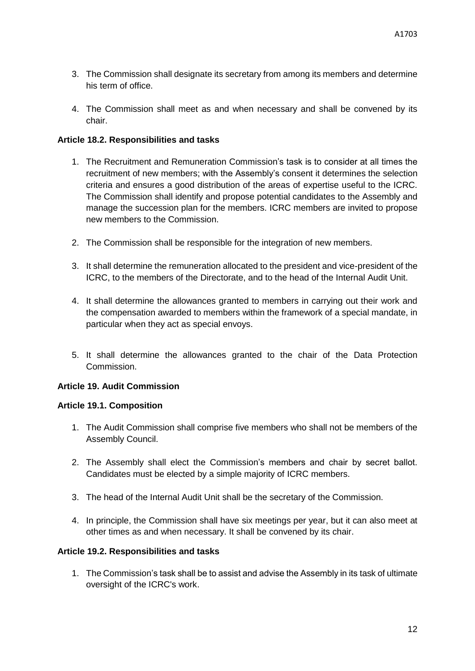- 3. The Commission shall designate its secretary from among its members and determine his term of office.
- 4. The Commission shall meet as and when necessary and shall be convened by its chair.

## <span id="page-12-0"></span>**Article 18.2. Responsibilities and tasks**

- 1. The Recruitment and Remuneration Commission's task is to consider at all times the recruitment of new members; with the Assembly's consent it determines the selection criteria and ensures a good distribution of the areas of expertise useful to the ICRC. The Commission shall identify and propose potential candidates to the Assembly and manage the succession plan for the members. ICRC members are invited to propose new members to the Commission.
- 2. The Commission shall be responsible for the integration of new members.
- 3. It shall determine the remuneration allocated to the president and vice-president of the ICRC, to the members of the Directorate, and to the head of the Internal Audit Unit.
- 4. It shall determine the allowances granted to members in carrying out their work and the compensation awarded to members within the framework of a special mandate, in particular when they act as special envoys.
- 5. It shall determine the allowances granted to the chair of the Data Protection Commission.

# <span id="page-12-1"></span>**Article 19. Audit Commission**

## <span id="page-12-2"></span>**Article 19.1. Composition**

- 1. The Audit Commission shall comprise five members who shall not be members of the Assembly Council.
- 2. The Assembly shall elect the Commission's members and chair by secret ballot. Candidates must be elected by a simple majority of ICRC members.
- 3. The head of the Internal Audit Unit shall be the secretary of the Commission.
- 4. In principle, the Commission shall have six meetings per year, but it can also meet at other times as and when necessary. It shall be convened by its chair.

## <span id="page-12-3"></span>**Article 19.2. Responsibilities and tasks**

1. The Commission's task shall be to assist and advise the Assembly in its task of ultimate oversight of the ICRC's work.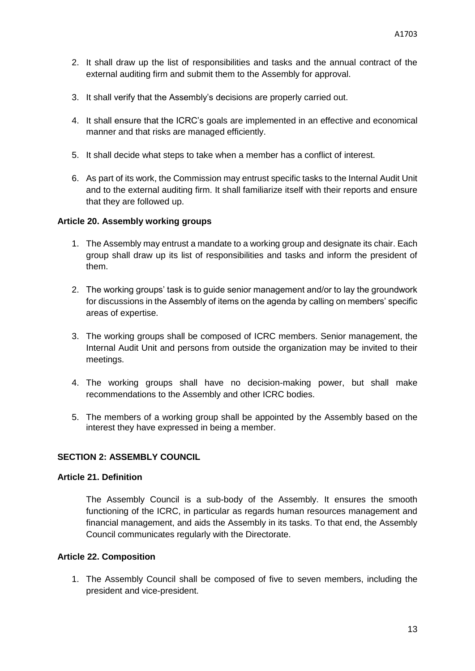- 2. It shall draw up the list of responsibilities and tasks and the annual contract of the external auditing firm and submit them to the Assembly for approval.
- 3. It shall verify that the Assembly's decisions are properly carried out.
- 4. It shall ensure that the ICRC's goals are implemented in an effective and economical manner and that risks are managed efficiently.
- 5. It shall decide what steps to take when a member has a conflict of interest.
- 6. As part of its work, the Commission may entrust specific tasks to the Internal Audit Unit and to the external auditing firm. It shall familiarize itself with their reports and ensure that they are followed up.

## <span id="page-13-0"></span>**Article 20. Assembly working groups**

- 1. The Assembly may entrust a mandate to a working group and designate its chair. Each group shall draw up its list of responsibilities and tasks and inform the president of them.
- 2. The working groups' task is to guide senior management and/or to lay the groundwork for discussions in the Assembly of items on the agenda by calling on members' specific areas of expertise.
- 3. The working groups shall be composed of ICRC members. Senior management, the Internal Audit Unit and persons from outside the organization may be invited to their meetings.
- 4. The working groups shall have no decision-making power, but shall make recommendations to the Assembly and other ICRC bodies.
- 5. The members of a working group shall be appointed by the Assembly based on the interest they have expressed in being a member.

## <span id="page-13-1"></span>**SECTION 2: ASSEMBLY COUNCIL**

## <span id="page-13-2"></span>**Article 21. Definition**

The Assembly Council is a sub-body of the Assembly. It ensures the smooth functioning of the ICRC, in particular as regards human resources management and financial management, and aids the Assembly in its tasks. To that end, the Assembly Council communicates regularly with the Directorate.

## <span id="page-13-3"></span>**Article 22. Composition**

1. The Assembly Council shall be composed of five to seven members, including the president and vice-president.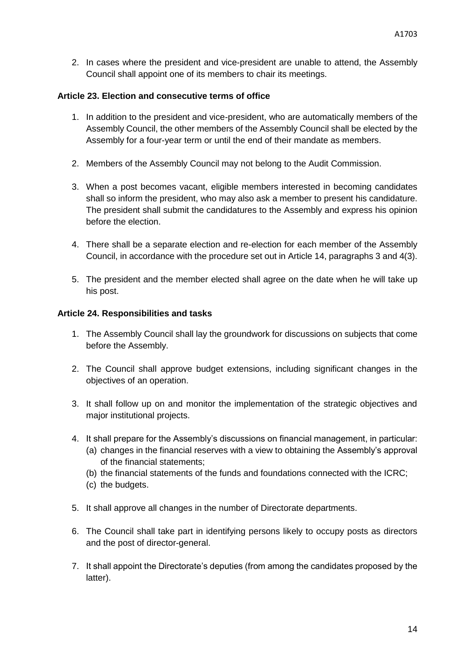2. In cases where the president and vice-president are unable to attend, the Assembly Council shall appoint one of its members to chair its meetings.

## <span id="page-14-0"></span>**Article 23. Election and consecutive terms of office**

- 1. In addition to the president and vice-president, who are automatically members of the Assembly Council, the other members of the Assembly Council shall be elected by the Assembly for a four-year term or until the end of their mandate as members.
- 2. Members of the Assembly Council may not belong to the Audit Commission.
- 3. When a post becomes vacant, eligible members interested in becoming candidates shall so inform the president, who may also ask a member to present his candidature. The president shall submit the candidatures to the Assembly and express his opinion before the election.
- 4. There shall be a separate election and re-election for each member of the Assembly Council, in accordance with the procedure set out in Article 14, paragraphs 3 and 4(3).
- 5. The president and the member elected shall agree on the date when he will take up his post.

## <span id="page-14-1"></span>**Article 24. Responsibilities and tasks**

- 1. The Assembly Council shall lay the groundwork for discussions on subjects that come before the Assembly.
- 2. The Council shall approve budget extensions, including significant changes in the objectives of an operation.
- 3. It shall follow up on and monitor the implementation of the strategic objectives and major institutional projects.
- 4. It shall prepare for the Assembly's discussions on financial management, in particular:
	- (a) changes in the financial reserves with a view to obtaining the Assembly's approval of the financial statements;
	- (b) the financial statements of the funds and foundations connected with the ICRC;
	- (c) the budgets.
- 5. It shall approve all changes in the number of Directorate departments.
- 6. The Council shall take part in identifying persons likely to occupy posts as directors and the post of director-general.
- 7. It shall appoint the Directorate's deputies (from among the candidates proposed by the latter).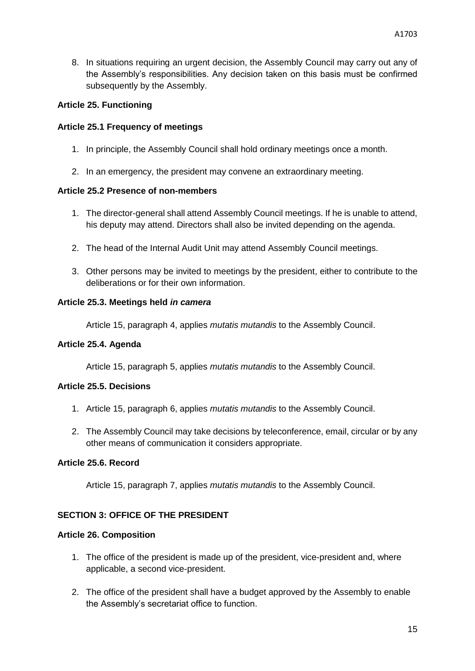8. In situations requiring an urgent decision, the Assembly Council may carry out any of the Assembly's responsibilities. Any decision taken on this basis must be confirmed subsequently by the Assembly.

## <span id="page-15-0"></span>**Article 25. Functioning**

## <span id="page-15-1"></span>**Article 25.1 Frequency of meetings**

- 1. In principle, the Assembly Council shall hold ordinary meetings once a month.
- 2. In an emergency, the president may convene an extraordinary meeting.

## <span id="page-15-2"></span>**Article 25.2 Presence of non-members**

- 1. The director-general shall attend Assembly Council meetings. If he is unable to attend, his deputy may attend. Directors shall also be invited depending on the agenda.
- 2. The head of the Internal Audit Unit may attend Assembly Council meetings.
- 3. Other persons may be invited to meetings by the president, either to contribute to the deliberations or for their own information.

## <span id="page-15-3"></span>**Article 25.3. Meetings held** *in camera*

Article 15, paragraph 4, applies *mutatis mutandis* to the Assembly Council.

## <span id="page-15-4"></span>**Article 25.4. Agenda**

Article 15, paragraph 5, applies *mutatis mutandis* to the Assembly Council.

# <span id="page-15-5"></span>**Article 25.5. Decisions**

- 1. Article 15, paragraph 6, applies *mutatis mutandis* to the Assembly Council.
- 2. The Assembly Council may take decisions by teleconference, email, circular or by any other means of communication it considers appropriate.

# <span id="page-15-6"></span>**Article 25.6. Record**

Article 15, paragraph 7, applies *mutatis mutandis* to the Assembly Council.

# <span id="page-15-7"></span>**SECTION 3: OFFICE OF THE PRESIDENT**

## <span id="page-15-8"></span>**Article 26. Composition**

- 1. The office of the president is made up of the president, vice-president and, where applicable, a second vice-president.
- 2. The office of the president shall have a budget approved by the Assembly to enable the Assembly's secretariat office to function.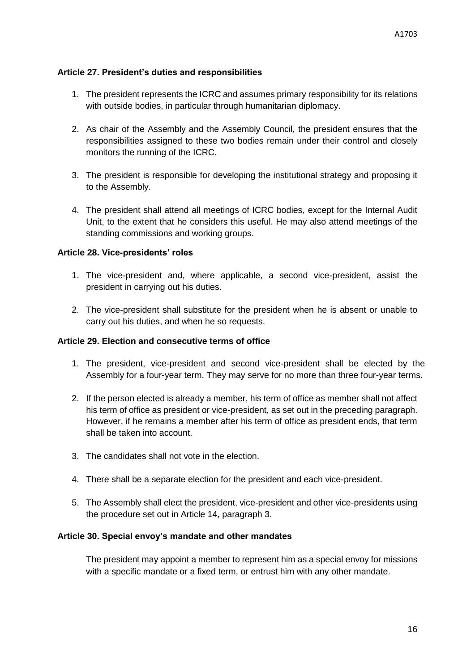## <span id="page-16-0"></span>**Article 27. President's duties and responsibilities**

- 1. The president represents the ICRC and assumes primary responsibility for its relations with outside bodies, in particular through humanitarian diplomacy.
- 2. As chair of the Assembly and the Assembly Council, the president ensures that the responsibilities assigned to these two bodies remain under their control and closely monitors the running of the ICRC.
- 3. The president is responsible for developing the institutional strategy and proposing it to the Assembly.
- 4. The president shall attend all meetings of ICRC bodies, except for the Internal Audit Unit, to the extent that he considers this useful. He may also attend meetings of the standing commissions and working groups.

## <span id="page-16-1"></span>**Article 28. Vice-presidents' roles**

- 1. The vice-president and, where applicable, a second vice-president, assist the president in carrying out his duties.
- 2. The vice-president shall substitute for the president when he is absent or unable to carry out his duties, and when he so requests.

## <span id="page-16-2"></span>**Article 29. Election and consecutive terms of office**

- 1. The president, vice-president and second vice-president shall be elected by the Assembly for a four-year term. They may serve for no more than three four-year terms.
- 2. If the person elected is already a member, his term of office as member shall not affect his term of office as president or vice-president, as set out in the preceding paragraph. However, if he remains a member after his term of office as president ends, that term shall be taken into account.
- 3. The candidates shall not vote in the election.
- 4. There shall be a separate election for the president and each vice-president.
- 5. The Assembly shall elect the president, vice-president and other vice-presidents using the procedure set out in Article 14, paragraph 3.

## <span id="page-16-3"></span>**Article 30. Special envoy's mandate and other mandates**

The president may appoint a member to represent him as a special envoy for missions with a specific mandate or a fixed term, or entrust him with any other mandate.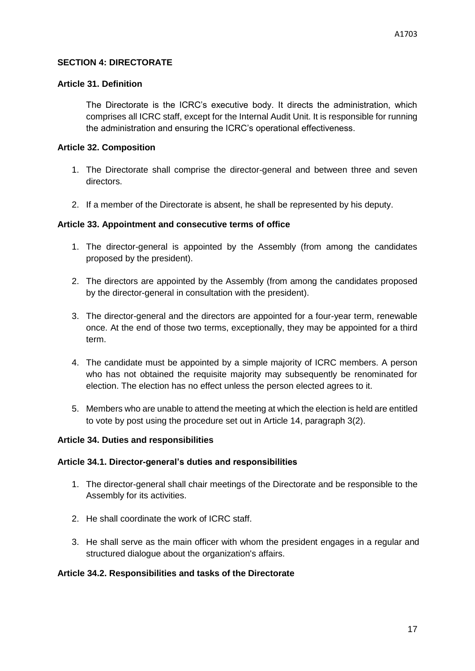## <span id="page-17-0"></span>**SECTION 4: DIRECTORATE**

## <span id="page-17-1"></span>**Article 31. Definition**

The Directorate is the ICRC's executive body. It directs the administration, which comprises all ICRC staff, except for the Internal Audit Unit. It is responsible for running the administration and ensuring the ICRC's operational effectiveness.

## <span id="page-17-2"></span>**Article 32. Composition**

- 1. The Directorate shall comprise the director-general and between three and seven directors.
- 2. If a member of the Directorate is absent, he shall be represented by his deputy.

## <span id="page-17-3"></span>**Article 33. Appointment and consecutive terms of office**

- 1. The director-general is appointed by the Assembly (from among the candidates proposed by the president).
- 2. The directors are appointed by the Assembly (from among the candidates proposed by the director-general in consultation with the president).
- 3. The director-general and the directors are appointed for a four-year term, renewable once. At the end of those two terms, exceptionally, they may be appointed for a third term.
- 4. The candidate must be appointed by a simple majority of ICRC members. A person who has not obtained the requisite majority may subsequently be renominated for election. The election has no effect unless the person elected agrees to it.
- 5. Members who are unable to attend the meeting at which the election is held are entitled to vote by post using the procedure set out in Article 14, paragraph 3(2).

## <span id="page-17-4"></span>**Article 34. Duties and responsibilities**

## <span id="page-17-5"></span>**Article 34.1. Director-general's duties and responsibilities**

- 1. The director-general shall chair meetings of the Directorate and be responsible to the Assembly for its activities.
- 2. He shall coordinate the work of ICRC staff.
- 3. He shall serve as the main officer with whom the president engages in a regular and structured dialogue about the organization's affairs.

## <span id="page-17-6"></span>**Article 34.2. Responsibilities and tasks of the Directorate**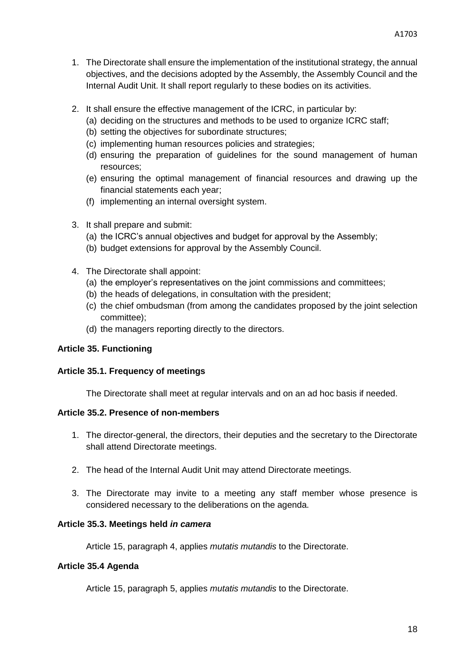- 1. The Directorate shall ensure the implementation of the institutional strategy, the annual objectives, and the decisions adopted by the Assembly, the Assembly Council and the Internal Audit Unit. It shall report regularly to these bodies on its activities.
- 2. It shall ensure the effective management of the ICRC, in particular by:
	- (a) deciding on the structures and methods to be used to organize ICRC staff;
	- (b) setting the objectives for subordinate structures;
	- (c) implementing human resources policies and strategies;
	- (d) ensuring the preparation of guidelines for the sound management of human resources;
	- (e) ensuring the optimal management of financial resources and drawing up the financial statements each year;
	- (f) implementing an internal oversight system.
- 3. It shall prepare and submit:
	- (a) the ICRC's annual objectives and budget for approval by the Assembly;
	- (b) budget extensions for approval by the Assembly Council.
- 4. The Directorate shall appoint:
	- (a) the employer's representatives on the joint commissions and committees;
	- (b) the heads of delegations, in consultation with the president;
	- (c) the chief ombudsman (from among the candidates proposed by the joint selection committee);
	- (d) the managers reporting directly to the directors.

# <span id="page-18-0"></span>**Article 35. Functioning**

# <span id="page-18-1"></span>**Article 35.1. Frequency of meetings**

The Directorate shall meet at regular intervals and on an ad hoc basis if needed.

# <span id="page-18-2"></span>**Article 35.2. Presence of non-members**

- 1. The director-general, the directors, their deputies and the secretary to the Directorate shall attend Directorate meetings.
- 2. The head of the Internal Audit Unit may attend Directorate meetings.
- 3. The Directorate may invite to a meeting any staff member whose presence is considered necessary to the deliberations on the agenda.

# <span id="page-18-3"></span>**Article 35.3. Meetings held** *in camera*

Article 15, paragraph 4, applies *mutatis mutandis* to the Directorate.

# <span id="page-18-4"></span>**Article 35.4 Agenda**

Article 15, paragraph 5, applies *mutatis mutandis* to the Directorate.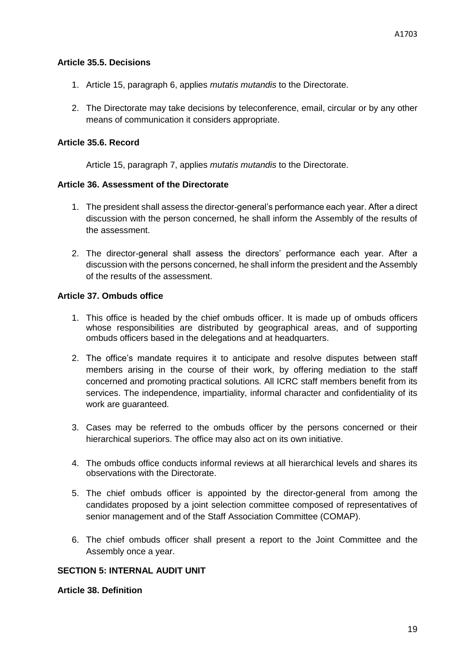#### <span id="page-19-0"></span>**Article 35.5. Decisions**

- 1. Article 15, paragraph 6, applies *mutatis mutandis* to the Directorate.
- 2. The Directorate may take decisions by teleconference, email, circular or by any other means of communication it considers appropriate.

## <span id="page-19-1"></span>**Article 35.6. Record**

Article 15, paragraph 7, applies *mutatis mutandis* to the Directorate.

## <span id="page-19-2"></span>**Article 36. Assessment of the Directorate**

- 1. The president shall assess the director-general's performance each year. After a direct discussion with the person concerned, he shall inform the Assembly of the results of the assessment.
- 2. The director-general shall assess the directors' performance each year. After a discussion with the persons concerned, he shall inform the president and the Assembly of the results of the assessment.

## <span id="page-19-3"></span>**Article 37. Ombuds office**

- 1. This office is headed by the chief ombuds officer. It is made up of ombuds officers whose responsibilities are distributed by geographical areas, and of supporting ombuds officers based in the delegations and at headquarters.
- 2. The office's mandate requires it to anticipate and resolve disputes between staff members arising in the course of their work, by offering mediation to the staff concerned and promoting practical solutions. All ICRC staff members benefit from its services. The independence, impartiality, informal character and confidentiality of its work are guaranteed.
- 3. Cases may be referred to the ombuds officer by the persons concerned or their hierarchical superiors. The office may also act on its own initiative.
- 4. The ombuds office conducts informal reviews at all hierarchical levels and shares its observations with the Directorate.
- 5. The chief ombuds officer is appointed by the director-general from among the candidates proposed by a joint selection committee composed of representatives of senior management and of the Staff Association Committee (COMAP).
- 6. The chief ombuds officer shall present a report to the Joint Committee and the Assembly once a year.

## <span id="page-19-4"></span>**SECTION 5: INTERNAL AUDIT UNIT**

## <span id="page-19-5"></span>**Article 38. Definition**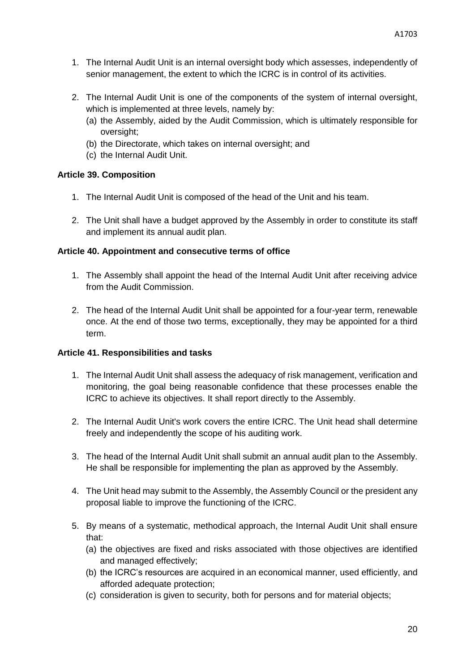- 1. The Internal Audit Unit is an internal oversight body which assesses, independently of senior management, the extent to which the ICRC is in control of its activities.
- 2. The Internal Audit Unit is one of the components of the system of internal oversight, which is implemented at three levels, namely by:
	- (a) the Assembly, aided by the Audit Commission, which is ultimately responsible for oversight;
	- (b) the Directorate, which takes on internal oversight; and
	- (c) the Internal Audit Unit.

## <span id="page-20-0"></span>**Article 39. Composition**

- 1. The Internal Audit Unit is composed of the head of the Unit and his team.
- 2. The Unit shall have a budget approved by the Assembly in order to constitute its staff and implement its annual audit plan.

## <span id="page-20-1"></span>**Article 40. Appointment and consecutive terms of office**

- 1. The Assembly shall appoint the head of the Internal Audit Unit after receiving advice from the Audit Commission.
- 2. The head of the Internal Audit Unit shall be appointed for a four-year term, renewable once. At the end of those two terms, exceptionally, they may be appointed for a third term.

## <span id="page-20-2"></span>**Article 41. Responsibilities and tasks**

- 1. The Internal Audit Unit shall assess the adequacy of risk management, verification and monitoring, the goal being reasonable confidence that these processes enable the ICRC to achieve its objectives. It shall report directly to the Assembly.
- 2. The Internal Audit Unit's work covers the entire ICRC. The Unit head shall determine freely and independently the scope of his auditing work.
- 3. The head of the Internal Audit Unit shall submit an annual audit plan to the Assembly. He shall be responsible for implementing the plan as approved by the Assembly.
- 4. The Unit head may submit to the Assembly, the Assembly Council or the president any proposal liable to improve the functioning of the ICRC.
- 5. By means of a systematic, methodical approach, the Internal Audit Unit shall ensure that:
	- (a) the objectives are fixed and risks associated with those objectives are identified and managed effectively;
	- (b) the ICRC's resources are acquired in an economical manner, used efficiently, and afforded adequate protection;
	- (c) consideration is given to security, both for persons and for material objects;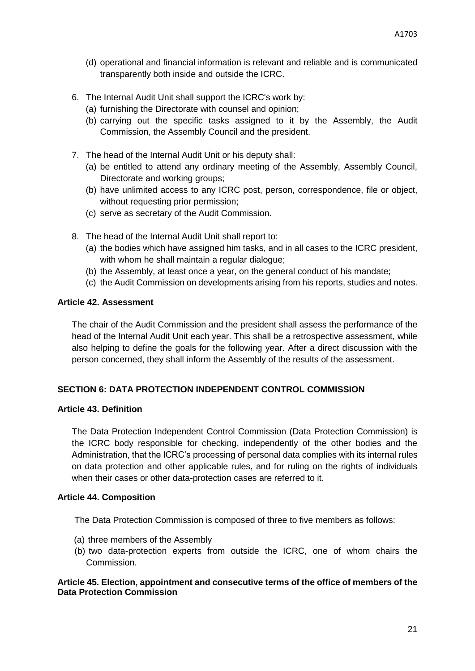- (d) operational and financial information is relevant and reliable and is communicated transparently both inside and outside the ICRC.
- 6. The Internal Audit Unit shall support the ICRC's work by:
	- (a) furnishing the Directorate with counsel and opinion;
	- (b) carrying out the specific tasks assigned to it by the Assembly, the Audit Commission, the Assembly Council and the president.
- 7. The head of the Internal Audit Unit or his deputy shall:
	- (a) be entitled to attend any ordinary meeting of the Assembly, Assembly Council, Directorate and working groups;
	- (b) have unlimited access to any ICRC post, person, correspondence, file or object, without requesting prior permission;
	- (c) serve as secretary of the Audit Commission.
- 8. The head of the Internal Audit Unit shall report to:
	- (a) the bodies which have assigned him tasks, and in all cases to the ICRC president, with whom he shall maintain a regular dialogue;
	- (b) the Assembly, at least once a year, on the general conduct of his mandate;
	- (c) the Audit Commission on developments arising from his reports, studies and notes.

## <span id="page-21-0"></span>**Article 42. Assessment**

The chair of the Audit Commission and the president shall assess the performance of the head of the Internal Audit Unit each year. This shall be a retrospective assessment, while also helping to define the goals for the following year. After a direct discussion with the person concerned, they shall inform the Assembly of the results of the assessment.

## <span id="page-21-1"></span>**SECTION 6: DATA PROTECTION INDEPENDENT CONTROL COMMISSION**

## <span id="page-21-2"></span>**Article 43. Definition**

The Data Protection Independent Control Commission (Data Protection Commission) is the ICRC body responsible for checking, independently of the other bodies and the Administration, that the ICRC's processing of personal data complies with its internal rules on data protection and other applicable rules, and for ruling on the rights of individuals when their cases or other data-protection cases are referred to it.

## <span id="page-21-3"></span>**Article 44. Composition**

The Data Protection Commission is composed of three to five members as follows:

- (a) three members of the Assembly
- (b) two data-protection experts from outside the ICRC, one of whom chairs the Commission.

## <span id="page-21-4"></span>**Article 45. Election, appointment and consecutive terms of the office of members of the Data Protection Commission**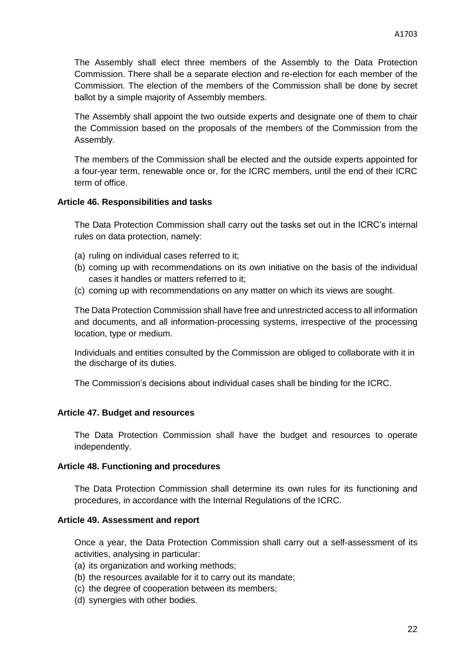The Assembly shall elect three members of the Assembly to the Data Protection Commission. There shall be a separate election and re-election for each member of the Commission. The election of the members of the Commission shall be done by secret ballot by a simple majority of Assembly members.

The Assembly shall appoint the two outside experts and designate one of them to chair the Commission based on the proposals of the members of the Commission from the Assembly.

The members of the Commission shall be elected and the outside experts appointed for a four-year term, renewable once or, for the ICRC members, until the end of their ICRC term of office.

#### <span id="page-22-0"></span>**Article 46. Responsibilities and tasks**

The Data Protection Commission shall carry out the tasks set out in the ICRC's internal rules on data protection, namely:

- (a) ruling on individual cases referred to it;
- (b) coming up with recommendations on its own initiative on the basis of the individual cases it handles or matters referred to it;
- (c) coming up with recommendations on any matter on which its views are sought.

The Data Protection Commission shall have free and unrestricted access to all information and documents, and all information-processing systems, irrespective of the processing location, type or medium.

Individuals and entities consulted by the Commission are obliged to collaborate with it in the discharge of its duties.

The Commission's decisions about individual cases shall be binding for the ICRC.

#### <span id="page-22-1"></span>**Article 47. Budget and resources**

The Data Protection Commission shall have the budget and resources to operate independently.

#### <span id="page-22-2"></span>**Article 48. Functioning and procedures**

The Data Protection Commission shall determine its own rules for its functioning and procedures, in accordance with the Internal Regulations of the ICRC.

#### <span id="page-22-3"></span>**Article 49. Assessment and report**

Once a year, the Data Protection Commission shall carry out a self-assessment of its activities, analysing in particular:

- (a) its organization and working methods;
- (b) the resources available for it to carry out its mandate;
- (c) the degree of cooperation between its members;
- (d) synergies with other bodies.